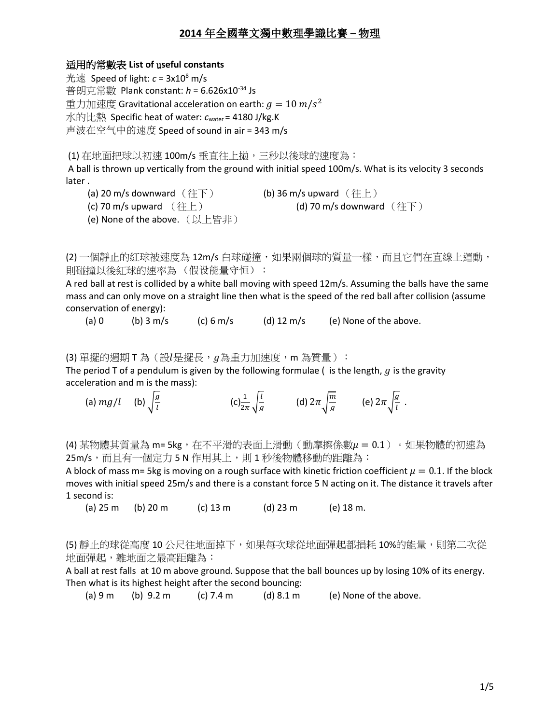#### 适用的常數表 **List of** u**seful constants**

 $\#$ 速 Speed of light:  $c = 3x10^8$  m/s 普朗克常數 Plank constant: *h* = 6.626x10<sup>-34</sup> Js 重力加速度 Gravitational acceleration on earth:  $g = 10\ m/s^2$ 水的比熱 Specific heat of water: *c*water = 4180 J/kg.K 声波在空气中的速度 Speed of sound in air = 343 m/s

(1) 在地面把球以初速 100m/s 垂直往上拋,三秒以後球的速度為:

A ball is thrown up vertically from the ground with initial speed 100m/s. What is its velocity 3 seconds later .

(a) 20 m/s downward  $(\text{iff})$  (b) 36 m/s upward  $(\text{iff})$ 

(c) 70 m/s upward  $(\text{#})$  (d) 70 m/s downward  $(\text{#})$ 

(e) None of the above. (以上皆非)

(2) 一個靜止的紅球被速度為 12m/s 白球碰撞,如果兩個球的質量一樣,而且它們在直線上運動, 則碰撞以後紅球的速率為 (假设能量守恒):

A red ball at rest is collided by a white ball moving with speed 12m/s. Assuming the balls have the same mass and can only move on a straight line then what is the speed of the red ball after collision (assume conservation of energy):

(a) 0 (b)  $3 \text{ m/s}$  (c)  $6 \text{ m/s}$  (d)  $12 \text{ m/s}$  (e) None of the above.

 $(3)$  單擺的週期 T 為  $(3)$ 是擺長,  $g$ 為重力加速度, m 為質量):

The period T of a pendulum is given by the following formulae (is the length,  $g$  is the gravity acceleration and m is the mass):

(a)  $mg/l$  (b)  $\frac{g}{l}$  $\iota$  $(c)\frac{1}{2\pi}\sqrt{\frac{l}{g}}$  $\frac{l}{g}$  (d)  $2\pi\sqrt{\frac{m}{g}}$  $\frac{m}{g}$  (e)  $2\pi \sqrt{\frac{g}{l}}$  $\frac{9}{l}$ .

(4) 某物體其質量為 m= 5kg, 在不平滑的表面上滑動 (動摩擦係數μ = 0.1) 。如果物體的初速為 25m/s,而且有一個定力 5 N 作用其上,則 1 秒後物體移動的距離為:

A block of mass m= 5kg is moving on a rough surface with kinetic friction coefficient  $\mu = 0.1$ . If the block moves with initial speed 25m/s and there is a constant force 5 N acting on it. The distance it travels after 1 second is:

(a) 25 m (b) 20 m (c) 13 m (d) 23 m (e) 18 m.

(5) 靜止的球從高度 10 公尺往地面掉下,如果每次球從地面彈起都損耗 10%的能量,則第二次從 地面彈起,離地面之最高距離為:

A ball at rest falls at 10 m above ground. Suppose that the ball bounces up by losing 10% of its energy. Then what is its highest height after the second bouncing:

(a) 9 m (b) 9.2 m (c) 7.4 m (d) 8.1 m (e) None of the above.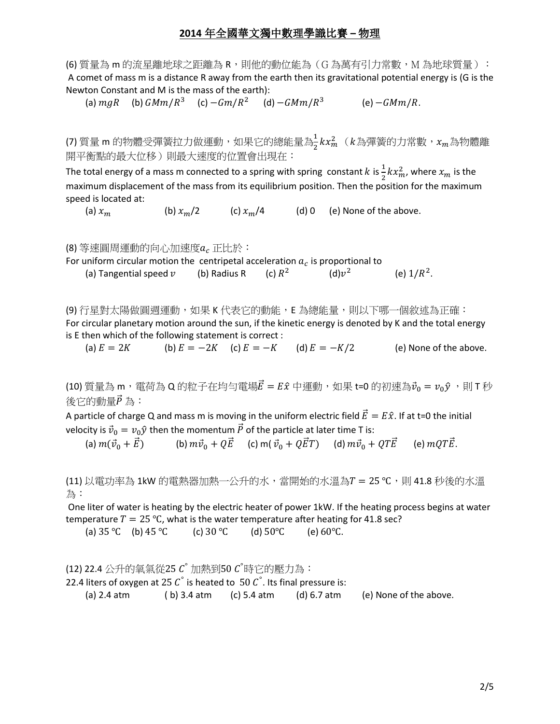(6) 質量為 m 的流星離地球之距離為 R,則他的動位能為(G 為萬有引力常數,M 為地球質量 ): A comet of mass m is a distance R away from the earth then its gravitational potential energy is (G is the Newton Constant and M is the mass of the earth):

(a)  $mgR$  (b)  $GMm/R^3$  $(c) - Gm/R^2$ (d)  $-GMm/R^3$  $(e) - GMm/R.$ 

(7) 質量 m 的物體受彈簧拉力做運動,如果它的總能量為 $\frac{1}{2} k x_m^2$ ( $k$ 為彈簧的力常數, $x_m$ 為物體離 開平衡點的最大位移)則最大速度的位置會出現在:

The total energy of a mass m connected to a spring with spring constant  $k$  is  $\frac{1}{2}kx_m^2$ , where  $x_m$  is the maximum displacement of the mass from its equilibrium position. Then the position for the maximum speed is located at:

(a)  $x_m$  (b)  $x_m/2$  (c)  $x_m/4$  (d) 0 (e) None of the above.

(8) 等速圓周運動的向心加速度 a<sub>c</sub> 正比於:

For uniform circular motion the centripetal acceleration  $a_c$  is proportional to

(a) Tangential speed  $v$  (b) Radius R (c)  $R^2$  $(d)\nu^2$ (e)  $1/R^2$ .

(9) 行星對太陽做圓週運動,如果 K 代表它的動能,E 為總能量,則以下哪一個敘述為正確: For circular planetary motion around the sun, if the kinetic energy is denoted by K and the total energy is E then which of the following statement is correct :

(a)  $E = 2K$  (b)  $E = -2K$  (c)  $E = -K$  (d)  $E = -K/2$  (e) None of the above.

(10) 質量為 m, 電荷為 Q 的粒子在均勻電場 $\vec{E} = E\hat{x}$  中運動, 如果 t=0 的初速為 $\vec{v}_0 = v_0\hat{y}$ , 則 T 秒 後它的動量 $\vec{P}$  為:

A particle of charge Q and mass m is moving in the uniform electric field  $\vec{E} = E\hat{x}$ . If at t=0 the initial velocity is  $\vec{v}_0 = v_0 \hat{y}$  then the momentum  $\vec{P}$  of the particle at later time T is:

(a)  $m(\vec{v}_0 + \vec{E})$  (b)  $m\vec{v}_0 + Q\vec{E}$  (c)  $m(\vec{v}_0 + Q\vec{E}T)$  (d)  $m\vec{v}_0 + QT\vec{E}$  (e)  $mQT\vec{E}$ .

(11) 以電功率為 1kW 的電熱器加熱一公升的水,當開始的水溫為 T = 25 ℃, 則 41.8 秒後的水溫 為:

One liter of water is heating by the electric heater of power 1kW. If the heating process begins at water temperature  $T = 25$  °C, what is the water temperature after heating for 41.8 sec?

(a) 35 ℃ (b) 45 ℃ (c) 30 ℃ (d) 50℃ (e) 60℃.

(12) 22.4 公升的氧氣從25 C° 加熱到50 C°時它的壓力為:

22.4 liters of oxygen at 25  $\mathcal{C}^{\degree}$  is heated to  $\,50$   $\mathcal{C}^{\degree}$ . Its final pressure is:

(a) 2.4 atm (b) 3.4 atm (c) 5.4 atm (d)  $6.7$  atm (e) None of the above.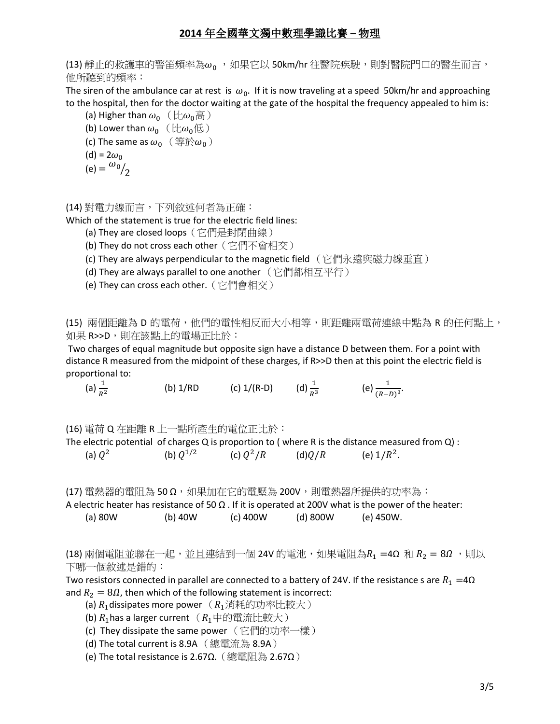(13) 靜止的救護車的警笛頻率為ωρ,,如果它以 50km/hr 往醫院疾駛,則對醫院門口的醫生而言, 他所聽到的頻率:

The siren of the ambulance car at rest is  $\omega_0$ . If it is now traveling at a speed 50km/hr and approaching to the hospital, then for the doctor waiting at the gate of the hospital the frequency appealed to him is:

- (a) Higher than  $\omega_0$  (比 $\omega_0$ 高) (b) Lower than  $\omega_0$  ( $\pm \omega_0$ 低)
- (c) The same as  $\omega_0$  (等於 $\omega_0$ )

$$
(\mathsf{d}) = 2\omega_0
$$

$$
(e) = \frac{\omega_0}{2}
$$

(14) 對電力線而言,下列敘述何者為正確:

Which of the statement is true for the electric field lines:

- (a) They are closed loops(它們是封閉曲線)
- (b) They do not cross each other (它們不會相交)
- (c) They are always perpendicular to the magnetic field (它們永遠與磁力線垂直)
- (d) They are always parallel to one another (它們都相互平行)
- (e) They can cross each other.(它們會相交)

(15) 兩個距離為 D 的電荷,他們的電性相反而大小相等,則距離兩電荷連線中點為 R 的任何點上, 如果 R>>D,則在該點上的電場正比於:

Two charges of equal magnitude but opposite sign have a distance D between them. For a point with distance R measured from the midpoint of these charges, if R>>D then at this point the electric field is proportional to:

(a)  $\frac{1}{R^2}$ (b) 1/RD (c) 1/(R-D) (d)  $\frac{1}{R^3}$  (e)  $\frac{1}{(R-D)^3}$ .

(16) 電荷 Q 在距離 R 上一點所產生的電位正比於:

| The electric potential of charges Q is proportion to (where R is the distance measured from Q) : |               |             |        |               |  |
|--------------------------------------------------------------------------------------------------|---------------|-------------|--------|---------------|--|
| (a) $Q^2$                                                                                        | (b) $Q^{1/2}$ | (c) $Q^2/R$ | (d)Q/R | (e) $1/R^2$ . |  |

(17) 電熱器的電阻為 50Ω,如果加在它的電壓為 200V,則電熱器所提供的功率為:

A electric heater has resistance of 50  $\Omega$ . If it is operated at 200V what is the power of the heater: (a) 80W (b) 40W (c) 400W (d) 800W (e) 450W.

(18) 兩個電阻並聯在一起,並且連結到一個 24V 的電池,如果電阻為 $R_1$  =4Ω 和  $R_2 = 8\Omega$  ,則以 下哪一個敘述是錯的:

Two resistors connected in parallel are connected to a battery of 24V. If the resistance s are  $R_1 = 4\Omega$ and  $R_2 = 8\Omega$ , then which of the following statement is incorrect:

- (a)  $R_1$  dissipates more power  $(R_1)$ 消耗的功率比較大
- (b)  $R_1$  has a larger current  $(R_1 \oplus \mathbb{R})$  <br>  $R_2 \oplus R_3$
- (c) They dissipate the same power (它們的功率一樣)
- (d) The total current is 8.9A (總電流為 8.9A)

(e) The total resistance is 2.67Ω.(總電阻為 2.67Ω)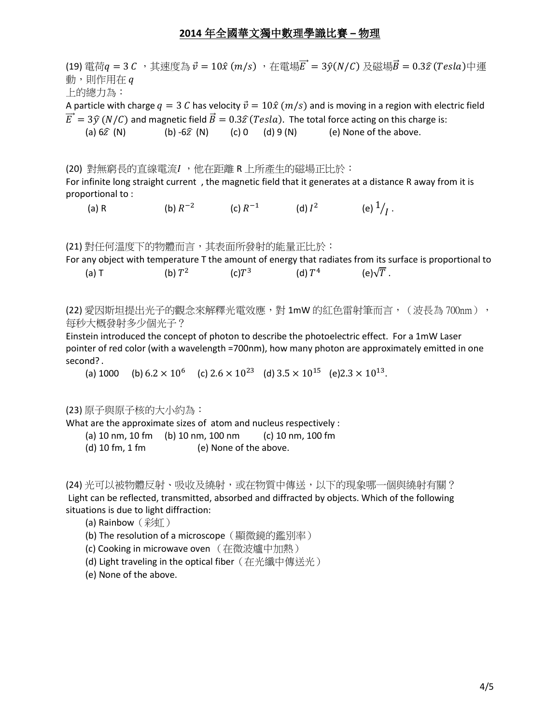(19) 電荷 $q = 3 C$ , 其速度為  $\vec{v} = 10 \hat{x}$  (m/s), 在電場 $\vec{E} = 3 \hat{y} (N/C)$  及磁場 $\vec{B} = 0.3 \hat{z}$  (Tesla)中運 動,則作用在 a 上的總力為: A particle with charge  $q = 3$  C has velocity  $\vec{v} = 10\hat{x}$  ( $m/s$ ) and is moving in a region with electric field  $\vec{E} = 3\hat{v}$  (N/C) and magnetic field  $\vec{B} = 0.3\hat{z}$  (Tesla). The total force acting on this charge is: (a)  $6\hat{z}$  (N)  $(b)$  - $6\hat{z}$  (N)  $(c)$  0  $(d)$  9 (N)  $(e)$  None of the above. (20) 對無窮長的直線電流I ,他在距離 R 上所產生的磁場正比於: For infinite long straight current , the magnetic field that it generates at a distance R away from it is proportional to :  $(a)$  R (b)  $R^{-2}$ (c)  $R^{-1}$ (d)  $I^2$ (e)  $\frac{1}{I}$ . (21) 對任何溫度下的物體而言,其表面所發射的能量正比於: For any object with temperature T the amount of energy that radiates from its surface is proportional to  $(a)$  T (b)  $T^2$  $(c)T^3$ (d)  $T^4$  $(e)\sqrt{T}$ . (22) 愛因斯坦提出光子的觀念來解釋光電效應,對 1mW 的紅色雷射筆而言,(波長為 700nm), 每秒大概發射多少個光子? Einstein introduced the concept of photon to describe the photoelectric effect. For a 1mW Laser pointer of red color (with a wavelength =700nm), how many photon are approximately emitted in one second? . (a) 1000 (b)  $6.2 \times 10^6$  (c)  $2.6 \times 10^{23}$  (d)  $3.5 \times 10^{15}$  (e) $2.3 \times 10^{13}$ . (23) 原子與原子核的大小約為: What are the approximate sizes of atom and nucleus respectively : (a) 10 nm, 10 fm (b) 10 nm, 100 nm (c) 10 nm, 100 fm (d) 10 fm, 1 fm (e) None of the above. (24) 光可以被物體反射、吸收及繞射,或在物質中傳送,以下的現象哪一個與繞射有關?

Light can be reflected, transmitted, absorbed and diffracted by objects. Which of the following situations is due to light diffraction:

(a) Rainbow(彩虹)

(b) The resolution of a microscope(顯微鏡的鑑別率)

(c) Cooking in microwave oven (在微波爐中加熱)

(d) Light traveling in the optical fiber(在光纖中傳送光)

(e) None of the above.